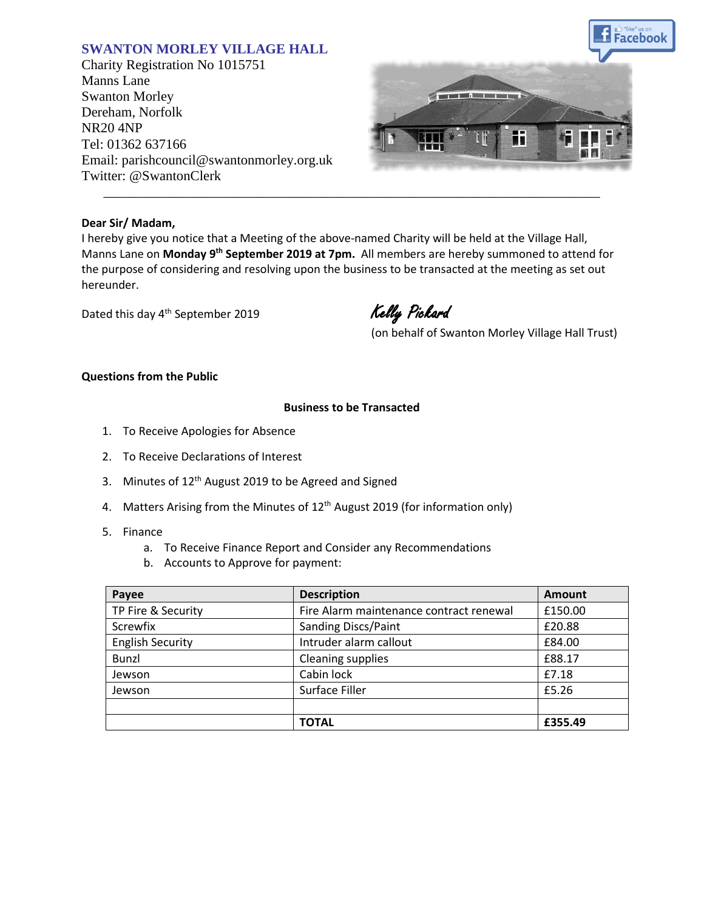# **SWANTON MORLEY VILLAGE HALL**

Charity Registration No 1015751 Manns Lane Swanton Morley Dereham, Norfolk NR20 4NP Tel: 01362 637166 Email: parishcouncil@swantonmorley.org.uk Twitter: @SwantonClerk



#### **Dear Sir/ Madam,**

I hereby give you notice that a Meeting of the above-named Charity will be held at the Village Hall, Manns Lane on **Monday 9 th September 2019 at 7pm.** All members are hereby summoned to attend for the purpose of considering and resolving upon the business to be transacted at the meeting as set out hereunder.

\_\_\_\_\_\_\_\_\_\_\_\_\_\_\_\_\_\_\_\_\_\_\_\_\_\_\_\_\_\_\_\_\_\_\_\_\_\_\_\_\_\_\_\_\_\_\_\_\_\_\_\_\_\_\_\_\_\_\_\_\_\_\_\_\_\_\_\_\_\_\_\_

Dated this day 4<sup>th</sup> September 2019

Kelly Pickard

(on behalf of Swanton Morley Village Hall Trust)

## **Questions from the Public**

### **Business to be Transacted**

- 1. To Receive Apologies for Absence
- 2. To Receive Declarations of Interest
- 3. Minutes of 12<sup>th</sup> August 2019 to be Agreed and Signed
- 4. Matters Arising from the Minutes of 12<sup>th</sup> August 2019 (for information only)
- 5. Finance
	- a. To Receive Finance Report and Consider any Recommendations
	- b. Accounts to Approve for payment:

| Payee                   | <b>Description</b>                      | <b>Amount</b> |
|-------------------------|-----------------------------------------|---------------|
| TP Fire & Security      | Fire Alarm maintenance contract renewal | £150.00       |
| Screwfix                | <b>Sanding Discs/Paint</b>              | £20.88        |
| <b>English Security</b> | Intruder alarm callout                  | £84.00        |
| Bunzl                   | Cleaning supplies                       | £88.17        |
| Jewson                  | Cabin lock                              | £7.18         |
| Jewson                  | Surface Filler                          | £5.26         |
|                         |                                         |               |
|                         | <b>TOTAL</b>                            | £355.49       |